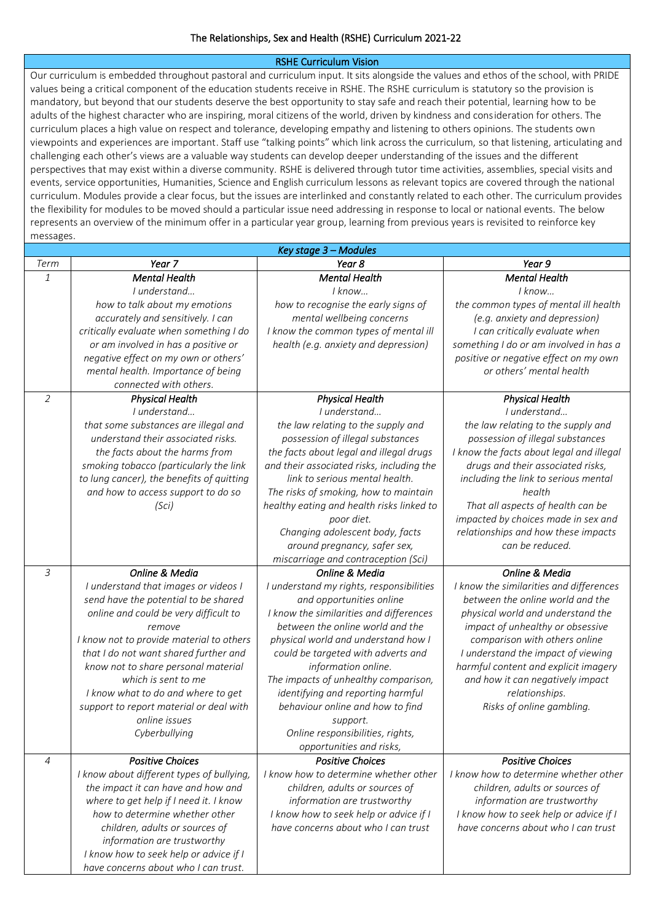## RSHE Curriculum Vision

Our curriculum is embedded throughout pastoral and curriculum input. It sits alongside the values and ethos of the school, with PRIDE values being a critical component of the education students receive in RSHE. The RSHE curriculum is statutory so the provision is mandatory, but beyond that our students deserve the best opportunity to stay safe and reach their potential, learning how to be adults of the highest character who are inspiring, moral citizens of the world, driven by kindness and consideration for others. The curriculum places a high value on respect and tolerance, developing empathy and listening to others opinions. The students own viewpoints and experiences are important. Staff use "talking points" which link across the curriculum, so that listening, articulating and challenging each other's views are a valuable way students can develop deeper understanding of the issues and the different perspectives that may exist within a diverse community. RSHE is delivered through tutor time activities, assemblies, special visits and events, service opportunities, Humanities, Science and English curriculum lessons as relevant topics are covered through the national curriculum. Modules provide a clear focus, but the issues are interlinked and constantly related to each other. The curriculum provides the flexibility for modules to be moved should a particular issue need addressing in response to local or national events. The below represents an overview of the minimum offer in a particular year group, learning from previous years is revisited to reinforce key messages.

| Key stage 3 - Modules |                                           |                                           |                                          |
|-----------------------|-------------------------------------------|-------------------------------------------|------------------------------------------|
| Term                  | Year <sub>7</sub>                         | Year 8                                    | Year 9                                   |
| 1                     | <b>Mental Health</b>                      | <b>Mental Health</b>                      | <b>Mental Health</b>                     |
|                       | I understand                              | I know                                    | $l$ know                                 |
|                       | how to talk about my emotions             | how to recognise the early signs of       | the common types of mental ill health    |
|                       | accurately and sensitively. I can         | mental wellbeing concerns                 | (e.g. anxiety and depression)            |
|                       | critically evaluate when something I do   | I know the common types of mental ill     | I can critically evaluate when           |
|                       | or am involved in has a positive or       | health (e.g. anxiety and depression)      | something I do or am involved in has a   |
|                       | negative effect on my own or others'      |                                           | positive or negative effect on my own    |
|                       | mental health. Importance of being        |                                           | or others' mental health                 |
|                       | connected with others.                    |                                           |                                          |
| $\overline{2}$        | <b>Physical Health</b>                    | <b>Physical Health</b>                    | <b>Physical Health</b>                   |
|                       | I understand                              | I understand                              | I understand                             |
|                       | that some substances are illegal and      | the law relating to the supply and        | the law relating to the supply and       |
|                       | understand their associated risks.        | possession of illegal substances          | possession of illegal substances         |
|                       | the facts about the harms from            | the facts about legal and illegal drugs   | I know the facts about legal and illegal |
|                       | smoking tobacco (particularly the link    | and their associated risks, including the | drugs and their associated risks,        |
|                       | to lung cancer), the benefits of quitting | link to serious mental health.            | including the link to serious mental     |
|                       | and how to access support to do so        | The risks of smoking, how to maintain     | health                                   |
|                       | (Sci)                                     | healthy eating and health risks linked to | That all aspects of health can be        |
|                       |                                           | poor diet.                                | impacted by choices made in sex and      |
|                       |                                           | Changing adolescent body, facts           | relationships and how these impacts      |
|                       |                                           | around pregnancy, safer sex,              | can be reduced.                          |
|                       |                                           | miscarriage and contraception (Sci)       |                                          |
| 3                     | Online & Media                            | Online & Media                            | Online & Media                           |
|                       | I understand that images or videos I      | I understand my rights, responsibilities  | I know the similarities and differences  |
|                       | send have the potential to be shared      | and opportunities online                  | between the online world and the         |
|                       | online and could be very difficult to     | I know the similarities and differences   | physical world and understand the        |
|                       | remove                                    | between the online world and the          | impact of unhealthy or obsessive         |
|                       | I know not to provide material to others  | physical world and understand how I       | comparison with others online            |
|                       | that I do not want shared further and     | could be targeted with adverts and        | I understand the impact of viewing       |
|                       | know not to share personal material       | information online.                       | harmful content and explicit imagery     |
|                       | which is sent to me                       | The impacts of unhealthy comparison,      | and how it can negatively impact         |
|                       | I know what to do and where to get        | identifying and reporting harmful         | relationships.                           |
|                       | support to report material or deal with   | behaviour online and how to find          | Risks of online gambling.                |
|                       | online issues                             | support.                                  |                                          |
|                       | Cyberbullying                             | Online responsibilities, rights,          |                                          |
|                       |                                           | opportunities and risks,                  |                                          |
| 4                     | <b>Positive Choices</b>                   | <b>Positive Choices</b>                   | <b>Positive Choices</b>                  |
|                       | I know about different types of bullying, | I know how to determine whether other     | I know how to determine whether other    |
|                       | the impact it can have and how and        | children, adults or sources of            | children, adults or sources of           |
|                       | where to get help if I need it. I know    | information are trustworthy               | information are trustworthy              |
|                       | how to determine whether other            | I know how to seek help or advice if I    | I know how to seek help or advice if I   |
|                       | children, adults or sources of            | have concerns about who I can trust       | have concerns about who I can trust      |
|                       | information are trustworthy               |                                           |                                          |
|                       | I know how to seek help or advice if I    |                                           |                                          |
|                       | have concerns about who I can trust.      |                                           |                                          |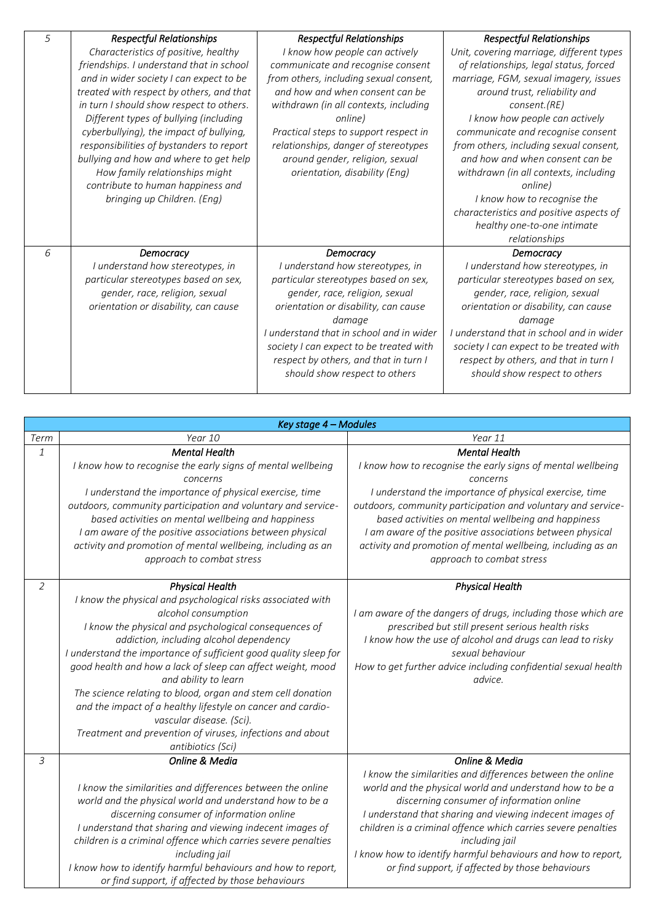| 5 | <b>Respectful Relationships</b>          | <b>Respectful Relationships</b>          | <b>Respectful Relationships</b>          |
|---|------------------------------------------|------------------------------------------|------------------------------------------|
|   | Characteristics of positive, healthy     | I know how people can actively           | Unit, covering marriage, different types |
|   | friendships. I understand that in school | communicate and recognise consent        | of relationships, legal status, forced   |
|   | and in wider society I can expect to be  | from others, including sexual consent,   | marriage, FGM, sexual imagery, issues    |
|   | treated with respect by others, and that | and how and when consent can be          | around trust, reliability and            |
|   | in turn I should show respect to others. | withdrawn (in all contexts, including    | consent.(RE)                             |
|   | Different types of bullying (including   | online)                                  | I know how people can actively           |
|   | cyberbullying), the impact of bullying,  | Practical steps to support respect in    | communicate and recognise consent        |
|   | responsibilities of bystanders to report | relationships, danger of stereotypes     | from others, including sexual consent,   |
|   | bullying and how and where to get help   | around gender, religion, sexual          | and how and when consent can be          |
|   | How family relationships might           | orientation, disability (Eng)            | withdrawn (in all contexts, including    |
|   | contribute to human happiness and        |                                          | online)                                  |
|   | bringing up Children. (Eng)              |                                          | I know how to recognise the              |
|   |                                          |                                          | characteristics and positive aspects of  |
|   |                                          |                                          | healthy one-to-one intimate              |
|   |                                          |                                          | relationships                            |
| 6 | Democracy                                | Democracy                                | Democracy                                |
|   | I understand how stereotypes, in         | I understand how stereotypes, in         | I understand how stereotypes, in         |
|   | particular stereotypes based on sex,     | particular stereotypes based on sex,     | particular stereotypes based on sex,     |
|   | gender, race, religion, sexual           | gender, race, religion, sexual           | gender, race, religion, sexual           |
|   | orientation or disability, can cause     | orientation or disability, can cause     | orientation or disability, can cause     |
|   |                                          | damage                                   | damage                                   |
|   |                                          | I understand that in school and in wider | I understand that in school and in wider |
|   |                                          | society I can expect to be treated with  | society I can expect to be treated with  |
|   |                                          | respect by others, and that in turn I    | respect by others, and that in turn I    |
|   |                                          | should show respect to others            | should show respect to others            |
|   |                                          |                                          |                                          |

|                | Key stage 4 - Modules                                            |                                                                |
|----------------|------------------------------------------------------------------|----------------------------------------------------------------|
| Term           | Year 10                                                          | Year 11                                                        |
| $\mathbf{1}$   | <b>Mental Health</b>                                             | <b>Mental Health</b>                                           |
|                | I know how to recognise the early signs of mental wellbeing      | I know how to recognise the early signs of mental wellbeing    |
|                | concerns                                                         | concerns                                                       |
|                | I understand the importance of physical exercise, time           | I understand the importance of physical exercise, time         |
|                | outdoors, community participation and voluntary and service-     | outdoors, community participation and voluntary and service-   |
|                | based activities on mental wellbeing and happiness               | based activities on mental wellbeing and happiness             |
|                | I am aware of the positive associations between physical         | I am aware of the positive associations between physical       |
|                | activity and promotion of mental wellbeing, including as an      | activity and promotion of mental wellbeing, including as an    |
|                | approach to combat stress                                        | approach to combat stress                                      |
| $\overline{2}$ | <b>Physical Health</b>                                           | <b>Physical Health</b>                                         |
|                | I know the physical and psychological risks associated with      |                                                                |
|                | alcohol consumption                                              | I am aware of the dangers of drugs, including those which are  |
|                | I know the physical and psychological consequences of            | prescribed but still present serious health risks              |
|                | addiction, including alcohol dependency                          | I know how the use of alcohol and drugs can lead to risky      |
|                | I understand the importance of sufficient good quality sleep for | sexual behaviour                                               |
|                | good health and how a lack of sleep can affect weight, mood      | How to get further advice including confidential sexual health |
|                | and ability to learn                                             | advice.                                                        |
|                | The science relating to blood, organ and stem cell donation      |                                                                |
|                | and the impact of a healthy lifestyle on cancer and cardio-      |                                                                |
|                | vascular disease. (Sci).                                         |                                                                |
|                | Treatment and prevention of viruses, infections and about        |                                                                |
|                | antibiotics (Sci)                                                |                                                                |
| 3              | Online & Media                                                   | Online & Media                                                 |
|                |                                                                  | I know the similarities and differences between the online     |
|                | I know the similarities and differences between the online       | world and the physical world and understand how to be a        |
|                | world and the physical world and understand how to be a          | discerning consumer of information online                      |
|                | discerning consumer of information online                        | I understand that sharing and viewing indecent images of       |
|                | I understand that sharing and viewing indecent images of         | children is a criminal offence which carries severe penalties  |
|                | children is a criminal offence which carries severe penalties    | including jail                                                 |
|                | including jail                                                   | I know how to identify harmful behaviours and how to report,   |
|                | I know how to identify harmful behaviours and how to report,     | or find support, if affected by those behaviours               |
|                | or find support, if affected by those behaviours                 |                                                                |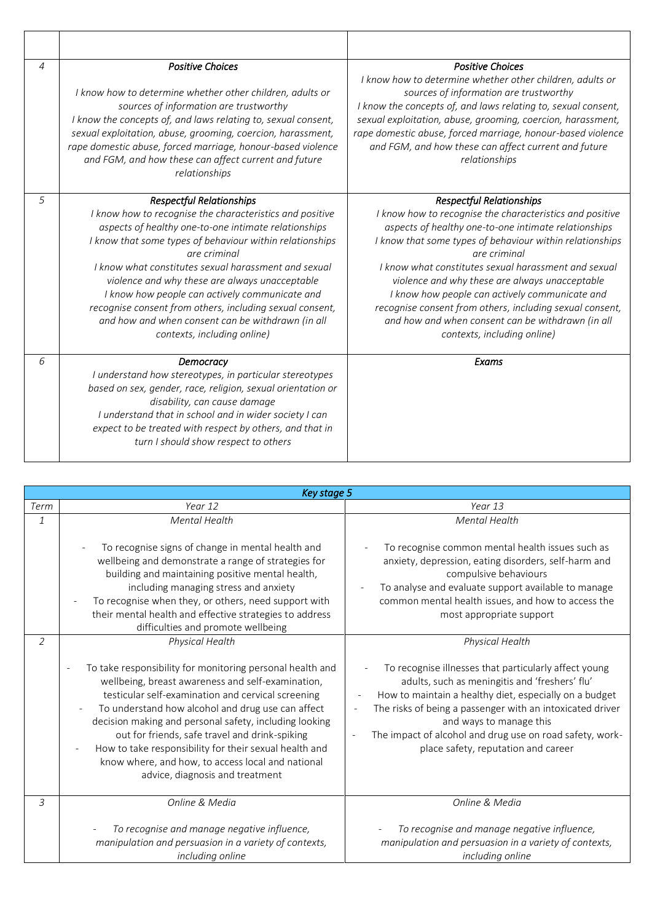| 4 | <b>Positive Choices</b><br>I know how to determine whether other children, adults or<br>sources of information are trustworthy<br>I know the concepts of, and laws relating to, sexual consent,<br>sexual exploitation, abuse, grooming, coercion, harassment,<br>rape domestic abuse, forced marriage, honour-based violence<br>and FGM, and how these can affect current and future<br>relationships                                                                                                                                      | <b>Positive Choices</b><br>I know how to determine whether other children, adults or<br>sources of information are trustworthy<br>I know the concepts of, and laws relating to, sexual consent,<br>sexual exploitation, abuse, grooming, coercion, harassment,<br>rape domestic abuse, forced marriage, honour-based violence<br>and FGM, and how these can affect current and future<br>relationships                                                                                                                                      |
|---|---------------------------------------------------------------------------------------------------------------------------------------------------------------------------------------------------------------------------------------------------------------------------------------------------------------------------------------------------------------------------------------------------------------------------------------------------------------------------------------------------------------------------------------------|---------------------------------------------------------------------------------------------------------------------------------------------------------------------------------------------------------------------------------------------------------------------------------------------------------------------------------------------------------------------------------------------------------------------------------------------------------------------------------------------------------------------------------------------|
| 5 | <b>Respectful Relationships</b><br>I know how to recognise the characteristics and positive<br>aspects of healthy one-to-one intimate relationships<br>I know that some types of behaviour within relationships<br>are criminal<br>I know what constitutes sexual harassment and sexual<br>violence and why these are always unacceptable<br>I know how people can actively communicate and<br>recognise consent from others, including sexual consent,<br>and how and when consent can be withdrawn (in all<br>contexts, including online) | <b>Respectful Relationships</b><br>I know how to recognise the characteristics and positive<br>aspects of healthy one-to-one intimate relationships<br>I know that some types of behaviour within relationships<br>are criminal<br>I know what constitutes sexual harassment and sexual<br>violence and why these are always unacceptable<br>I know how people can actively communicate and<br>recognise consent from others, including sexual consent,<br>and how and when consent can be withdrawn (in all<br>contexts, including online) |
| 6 | Democracy<br>I understand how stereotypes, in particular stereotypes<br>based on sex, gender, race, religion, sexual orientation or<br>disability, can cause damage<br>I understand that in school and in wider society I can<br>expect to be treated with respect by others, and that in<br>turn I should show respect to others                                                                                                                                                                                                           | Exams                                                                                                                                                                                                                                                                                                                                                                                                                                                                                                                                       |

| Key stage 5    |                                                                                                                                                                                                                                                                                                                                                                                                                                                                                                            |                                                                                                                                                                                                                                                                                                                                                                                                   |
|----------------|------------------------------------------------------------------------------------------------------------------------------------------------------------------------------------------------------------------------------------------------------------------------------------------------------------------------------------------------------------------------------------------------------------------------------------------------------------------------------------------------------------|---------------------------------------------------------------------------------------------------------------------------------------------------------------------------------------------------------------------------------------------------------------------------------------------------------------------------------------------------------------------------------------------------|
| Term           | Year 12                                                                                                                                                                                                                                                                                                                                                                                                                                                                                                    | Year 13                                                                                                                                                                                                                                                                                                                                                                                           |
| $\mathbf{1}$   | <b>Mental Health</b>                                                                                                                                                                                                                                                                                                                                                                                                                                                                                       | <b>Mental Health</b>                                                                                                                                                                                                                                                                                                                                                                              |
|                | To recognise signs of change in mental health and<br>wellbeing and demonstrate a range of strategies for<br>building and maintaining positive mental health,<br>including managing stress and anxiety<br>To recognise when they, or others, need support with<br>their mental health and effective strategies to address<br>difficulties and promote wellbeing                                                                                                                                             | To recognise common mental health issues such as<br>anxiety, depression, eating disorders, self-harm and<br>compulsive behaviours<br>To analyse and evaluate support available to manage<br>common mental health issues, and how to access the<br>most appropriate support                                                                                                                        |
| $\overline{2}$ | Physical Health<br>To take responsibility for monitoring personal health and<br>wellbeing, breast awareness and self-examination,<br>testicular self-examination and cervical screening<br>To understand how alcohol and drug use can affect<br>decision making and personal safety, including looking<br>out for friends, safe travel and drink-spiking<br>How to take responsibility for their sexual health and<br>know where, and how, to access local and national<br>advice, diagnosis and treatment | Physical Health<br>To recognise illnesses that particularly affect young<br>adults, such as meningitis and 'freshers' flu'<br>How to maintain a healthy diet, especially on a budget<br>The risks of being a passenger with an intoxicated driver<br>and ways to manage this<br>The impact of alcohol and drug use on road safety, work-<br>$\overline{a}$<br>place safety, reputation and career |
| 3              | Online & Media<br>To recognise and manage negative influence,<br>manipulation and persuasion in a variety of contexts,<br>including online                                                                                                                                                                                                                                                                                                                                                                 | Online & Media<br>To recognise and manage negative influence,<br>manipulation and persuasion in a variety of contexts,<br>including online                                                                                                                                                                                                                                                        |